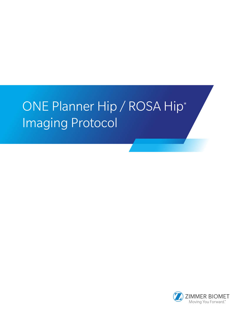# ONE Planner Hip / ROSA Hip\* Imaging Protocol

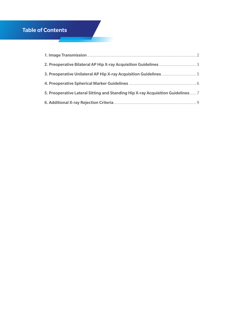# Table of Contents

| 5. Preoperative Lateral Sitting and Standing Hip X-ray Acquisition Guidelines 7 |  |
|---------------------------------------------------------------------------------|--|
|                                                                                 |  |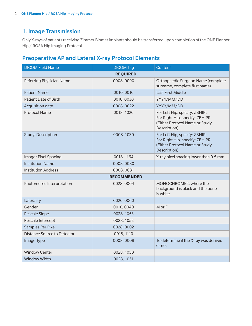# 1. Image Transmission

Only X-rays of patients receiving Zimmer Biomet implants should be transferred upon completion of the ONE Planner Hip / ROSA Hip Imaging Protocol.

# Preoperative AP and Lateral X-ray Protocol Elements

| <b>DICOM Field Name</b>            | <b>DICOM Tag</b> | Content                                                                                                           |  |
|------------------------------------|------------------|-------------------------------------------------------------------------------------------------------------------|--|
| <b>REQUIRED</b>                    |                  |                                                                                                                   |  |
| Referring Physician Name           | 0008,0090        | Orthopaedic Surgeon Name (complete<br>surname, complete first name)                                               |  |
| <b>Patient Name</b>                | 0010, 0010       | <b>Last First Middle</b>                                                                                          |  |
| <b>Patient Date of Birth</b>       | 0010,0030        | YYYY/MM/DD                                                                                                        |  |
| Acquisition date                   | 0008,0022        | YYYY/MM/DD                                                                                                        |  |
| <b>Protocol Name</b>               | 0018, 1020       | For Left Hip, specify: ZBHIPL<br>For Right Hip, specify: ZBHIPR<br>(Either Protocol Name or Study<br>Description) |  |
| <b>Study Description</b>           | 0008, 1030       | For Left Hip, specify: ZBHIPL<br>For Right Hip, specify: ZBHIPR<br>(Either Protocol Name or Study<br>Description) |  |
| <b>Imager Pixel Spacing</b>        | 0018, 1164       | X-ray pixel spacing lower than 0.5 mm                                                                             |  |
| <b>Institution Name</b>            | 0008,0080        |                                                                                                                   |  |
| <b>Institution Address</b>         | 0008,0081        |                                                                                                                   |  |
| <b>RECOMMENDED</b>                 |                  |                                                                                                                   |  |
| Photometric Interpretation         | 0028,0004        | MONOCHROME2, where the<br>background is black and the bone<br>is white                                            |  |
| Laterality                         | 0020,0060        |                                                                                                                   |  |
| Gender                             | 0010,0040        | M or F                                                                                                            |  |
| <b>Rescale Slope</b>               | 0028, 1053       |                                                                                                                   |  |
| Rescale Intercept                  | 0028, 1052       |                                                                                                                   |  |
| Samples Per Pixel                  | 0028,0002        |                                                                                                                   |  |
| <b>Distance Source to Detector</b> | 0018, 1110       |                                                                                                                   |  |
| Image Type                         | 0008,0008        | To determine if the X-ray was derived<br>or not                                                                   |  |
| <b>Window Center</b>               | 0028, 1050       |                                                                                                                   |  |
| Window Width                       | 0028, 1051       |                                                                                                                   |  |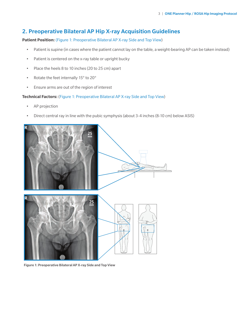# 2. Preoperative Bilateral AP Hip X-ray Acquisition Guidelines

**Patient Position:** (Figure 1: Preoperative Bilateral AP X-ray Side and Top View)

- Patient is supine (in cases where the patient cannot lay on the table, a weight-bearing AP can be taken instead)
- Patient is centered on the x-ray table or upright bucky
- Place the heels 8 to 10 inches (20 to 25 cm) apart
- Rotate the feet internally 15° to 20°
- Ensure arms are out of the region of interest

#### **Technical Factors:** (Figure 1: Preoperative Bilateral AP X-ray Side and Top View)

- AP projection
- Direct central ray in line with the pubic symphysis (about 3-4 inches (8-10 cm) below ASIS)



Figure 1: Preoperative Bilateral AP X-ray Side and Top View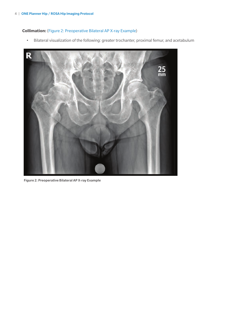## **Collimation:** (Figure 2: Preoperative Bilateral AP X-ray Example)

• Bilateral visualization of the following: greater trochanter, proximal femur, and acetabulum



Figure 2: Preoperative Bilateral AP X-ray Example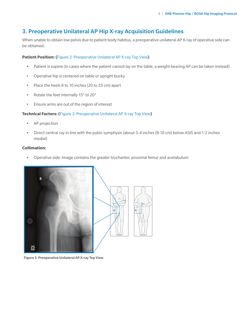# 3. Preoperative Unilateral AP Hip X-ray Acquisition Guidelines

When unable to obtain low pelvis due to patient body habitus, a preoperative unilateral AP X-ray of operative side can be obtained.

#### **Patient Position: (**Figure 3: Preoperative Unilateral AP X-ray Top View**)**

- Patient is supine (in cases where the patient cannot lay on the table, a weight-bearing AP can be taken instead)
- Operative hip is centered on table or upright bucky
- Place the heels 8 to 10 inches (20 to 25 cm) apart
- Rotate the feet internally 15° to 20°
- Ensure arms are out of the region of interest

#### **Technical Factors: (**Figure 3: Preoperative Unilateral AP X-ray Top View**)**

- AP projection
- Direct central ray in line with the pubic symphysis (about 3-4 inches (8-10 cm) below ASIS and 1-2 inches medial)

#### **Collimation:**

• Operative side: Image contains the greater trochanter, proximal femur and acetabulum





Figure 3: Preoperative Unilateral AP X-ray Top View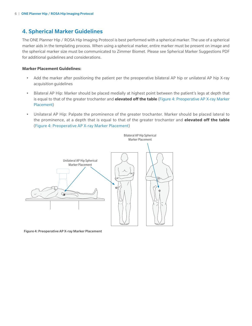# 4. Spherical Marker Guidelines

The ONE Planner Hip / ROSA Hip Imaging Protocol is best performed with a spherical marker. The use of a spherical marker aids in the templating process. When using a spherical marker, entire marker must be present on image and the spherical marker size must be communicated to Zimmer Biomet. Please see Spherical Marker Suggestions PDF for additional guidelines and considerations.

#### **Marker Placement Guidelines:**

- Add the marker after positioning the patient per the preoperative bilateral AP hip or unilateral AP hip X-ray acquisition guidelines
- Bilateral AP Hip: Marker should be placed medially at highest point between the patient's legs at depth that is equal to that of the greater trochanter and **elevated off the table** (Figure 4: Preoperative AP X-ray Marker Placement)
- Unilateral AP Hip: Palpate the prominence of the greater trochanter. Marker should be placed lateral to the prominence, at a depth that is equal to that of the greater trochanter and **elevated off the table**  (Figure 4: Preoperative AP X-ray Marker Placement)



Figure 4: Preoperative AP X-ray Marker Placement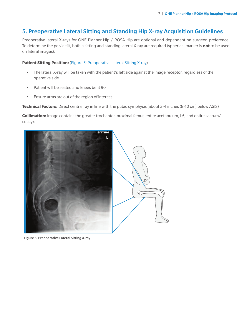# 5. Preoperative Lateral Sitting and Standing Hip X-ray Acquisition Guidelines

Preoperative lateral X-rays for ONE Planner Hip / ROSA Hip are optional and dependent on surgeon preference. To determine the pelvic tilt, both a sitting and standing lateral X-ray are required (spherical marker is **not** to be used on lateral images).

#### **Patient Sitting Position:** (Figure 5: Preoperative Lateral Sitting X-ray)

- The lateral X-ray will be taken with the patient's left side against the image receptor, regardless of the operative side
- Patient will be seated and knees bent 90°
- Ensure arms are out of the region of interest

**Technical Factors:** Direct central ray in line with the pubic symphysis (about 3-4 inches (8-10 cm) below ASIS)

**Collimation:** Image contains the greater trochanter, proximal femur, entire acetabulum, L5, and entire sacrum/ coccyx



Figure 5: Preoperative Lateral Sitting X-ray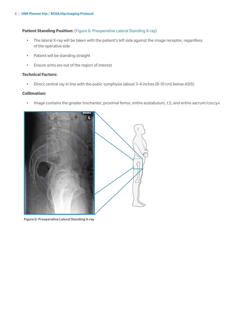#### Patient Standing Position: (Figure 6: Preoperative Lateral Standing X-ray)

- The lateral X-ray will be taken with the patient's left side against the image receptor, regardless of the operative side
- Patient will be standing straight
- Ensure arms are out of the region of interest

#### **Technical Factors:**

• Direct central ray in line with the pubic symphysis (about 3-4 inches (8-10 cm) below ASIS)

#### **Collimation:**

• Image contains the greater trochanter, proximal femur, entire acetabulum, L5, and entire sacrum/coccyx



Figure 6: Preoperative Lateral Standing X-ray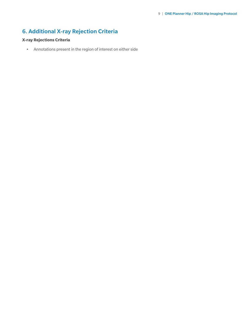# 6. Additional X-ray Rejection Criteria

## **X-ray Rejections Criteria**

• Annotations present in the region of interest on either side